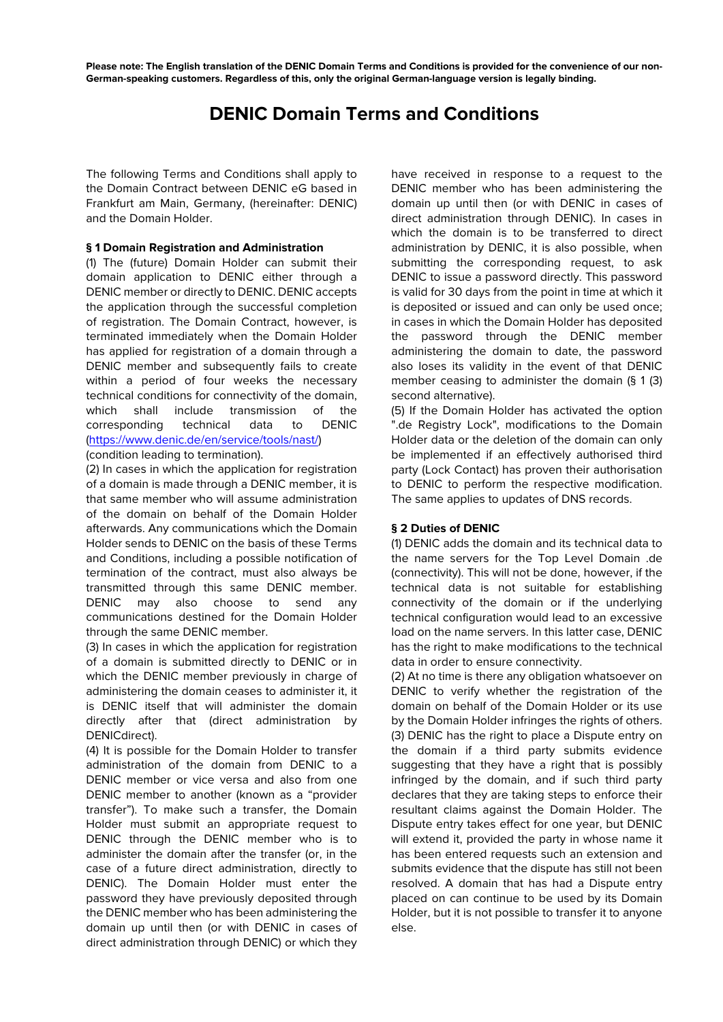**Please note: The English translation of the DENIC Domain Terms and Conditions is provided for the convenience of our non-German-speaking customers. Regardless of this, only the original German-language version is legally binding.** 

# **DENIC Domain Terms and Conditions**

The following Terms and Conditions shall apply to the Domain Contract between DENIC eG based in Frankfurt am Main, Germany, (hereinafter: DENIC) and the Domain Holder.

### **§ 1 Domain Registration and Administration**

(1) The (future) Domain Holder can submit their domain application to DENIC either through a DENIC member or directly to DENIC. DENIC accepts the application through the successful completion of registration. The Domain Contract, however, is terminated immediately when the Domain Holder has applied for registration of a domain through a DENIC member and subsequently fails to create within a period of four weeks the necessary technical conditions for connectivity of the domain, which shall include transmission of the corresponding technical data to DENIC (https://www.denic.de/en/service/tools/nast/)

(condition leading to termination).

(2) In cases in which the application for registration of a domain is made through a DENIC member, it is that same member who will assume administration of the domain on behalf of the Domain Holder afterwards. Any communications which the Domain Holder sends to DENIC on the basis of these Terms and Conditions, including a possible notification of termination of the contract, must also always be transmitted through this same DENIC member. DENIC may also choose to send any communications destined for the Domain Holder through the same DENIC member.

(3) In cases in which the application for registration of a domain is submitted directly to DENIC or in which the DENIC member previously in charge of administering the domain ceases to administer it, it is DENIC itself that will administer the domain directly after that (direct administration by DENICdirect).

(4) It is possible for the Domain Holder to transfer administration of the domain from DENIC to a DENIC member or vice versa and also from one DENIC member to another (known as a "provider transfer"). To make such a transfer, the Domain Holder must submit an appropriate request to DENIC through the DENIC member who is to administer the domain after the transfer (or, in the case of a future direct administration, directly to DENIC). The Domain Holder must enter the password they have previously deposited through the DENIC member who has been administering the domain up until then (or with DENIC in cases of direct administration through DENIC) or which they

have received in response to a request to the DENIC member who has been administering the domain up until then (or with DENIC in cases of direct administration through DENIC). In cases in which the domain is to be transferred to direct administration by DENIC, it is also possible, when submitting the corresponding request, to ask DENIC to issue a password directly. This password is valid for 30 days from the point in time at which it is deposited or issued and can only be used once; in cases in which the Domain Holder has deposited the password through the DENIC member administering the domain to date, the password also loses its validity in the event of that DENIC member ceasing to administer the domain (§ 1 (3) second alternative).

(5) If the Domain Holder has activated the option ".de Registry Lock", modifications to the Domain Holder data or the deletion of the domain can only be implemented if an effectively authorised third party (Lock Contact) has proven their authorisation to DENIC to perform the respective modification. The same applies to updates of DNS records.

## **§ 2 Duties of DENIC**

(1) DENIC adds the domain and its technical data to the name servers for the Top Level Domain .de (connectivity). This will not be done, however, if the technical data is not suitable for establishing connectivity of the domain or if the underlying technical configuration would lead to an excessive load on the name servers. In this latter case, DENIC has the right to make modifications to the technical data in order to ensure connectivity.

(2) At no time is there any obligation whatsoever on DENIC to verify whether the registration of the domain on behalf of the Domain Holder or its use by the Domain Holder infringes the rights of others. (3) DENIC has the right to place a Dispute entry on the domain if a third party submits evidence suggesting that they have a right that is possibly infringed by the domain, and if such third party declares that they are taking steps to enforce their resultant claims against the Domain Holder. The Dispute entry takes effect for one year, but DENIC will extend it, provided the party in whose name it has been entered requests such an extension and submits evidence that the dispute has still not been resolved. A domain that has had a Dispute entry placed on can continue to be used by its Domain Holder, but it is not possible to transfer it to anyone else.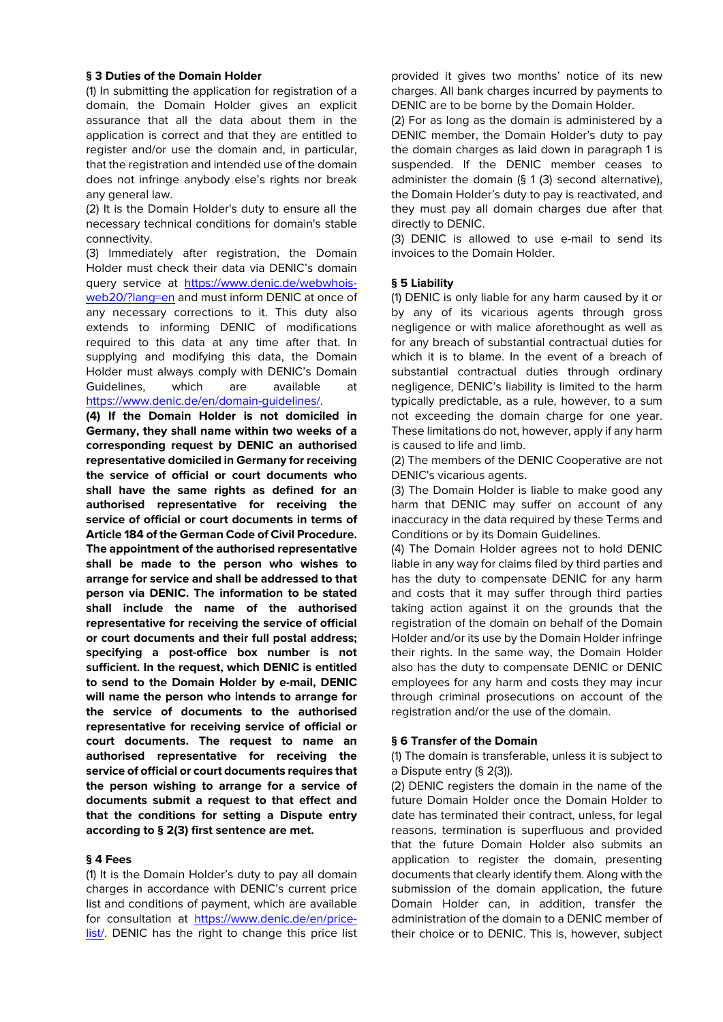#### **§ 3 Duties of the Domain Holder**

(1) In submitting the application for registration of a domain, the Domain Holder gives an explicit assurance that all the data about them in the application is correct and that they are entitled to register and/or use the domain and, in particular, that the registration and intended use of the domain does not infringe anybody else's rights nor break any general law.

(2) It is the Domain Holder's duty to ensure all the necessary technical conditions for domain's stable connectivity.

(3) Immediately after registration, the Domain Holder must check their data via DENIC's domain query service at https://www.denic.de/webwhoisweb20/?lang=en and must inform DENIC at once of any necessary corrections to it. This duty also extends to informing DENIC of modifications required to this data at any time after that. In supplying and modifying this data, the Domain Holder must always comply with DENIC's Domain Guidelines, which are available at https://www.denic.de/en/domain-guidelines/.

**(4) If the Domain Holder is not domiciled in Germany, they shall name within two weeks of a corresponding request by DENIC an authorised representative domiciled in Germany for receiving the service of official or court documents who shall have the same rights as defined for an authorised representative for receiving the service of official or court documents in terms of Article 184 of the German Code of Civil Procedure. The appointment of the authorised representative shall be made to the person who wishes to arrange for service and shall be addressed to that person via DENIC. The information to be stated shall include the name of the authorised representative for receiving the service of official or court documents and their full postal address; specifying a post-office box number is not sufficient. In the request, which DENIC is entitled to send to the Domain Holder by e-mail, DENIC will name the person who intends to arrange for the service of documents to the authorised representative for receiving service of official or court documents. The request to name an authorised representative for receiving the service of official or court documents requires that the person wishing to arrange for a service of documents submit a request to that effect and that the conditions for setting a Dispute entry according to § 2(3) first sentence are met.** 

#### **§ 4 Fees**

(1) It is the Domain Holder's duty to pay all domain charges in accordance with DENIC's current price list and conditions of payment, which are available for consultation at https://www.denic.de/en/pricelist/. DENIC has the right to change this price list provided it gives two months' notice of its new charges. All bank charges incurred by payments to DENIC are to be borne by the Domain Holder.

(2) For as long as the domain is administered by a DENIC member, the Domain Holder's duty to pay the domain charges as laid down in paragraph 1 is suspended. If the DENIC member ceases to administer the domain (§ 1 (3) second alternative), the Domain Holder's duty to pay is reactivated, and they must pay all domain charges due after that directly to DENIC.

(3) DENIC is allowed to use e-mail to send its invoices to the Domain Holder.

#### **§ 5 Liability**

(1) DENIC is only liable for any harm caused by it or by any of its vicarious agents through gross negligence or with malice aforethought as well as for any breach of substantial contractual duties for which it is to blame. In the event of a breach of substantial contractual duties through ordinary negligence, DENIC's liability is limited to the harm typically predictable, as a rule, however, to a sum not exceeding the domain charge for one year. These limitations do not, however, apply if any harm is caused to life and limb.

(2) The members of the DENIC Cooperative are not DENIC's vicarious agents.

(3) The Domain Holder is liable to make good any harm that DENIC may suffer on account of any inaccuracy in the data required by these Terms and Conditions or by its Domain Guidelines.

(4) The Domain Holder agrees not to hold DENIC liable in any way for claims filed by third parties and has the duty to compensate DENIC for any harm and costs that it may suffer through third parties taking action against it on the grounds that the registration of the domain on behalf of the Domain Holder and/or its use by the Domain Holder infringe their rights. In the same way, the Domain Holder also has the duty to compensate DENIC or DENIC employees for any harm and costs they may incur through criminal prosecutions on account of the registration and/or the use of the domain.

#### **§ 6 Transfer of the Domain**

(1) The domain is transferable, unless it is subject to a Dispute entry (§ 2(3)).

(2) DENIC registers the domain in the name of the future Domain Holder once the Domain Holder to date has terminated their contract, unless, for legal reasons, termination is superfluous and provided that the future Domain Holder also submits an application to register the domain, presenting documents that clearly identify them. Along with the submission of the domain application, the future Domain Holder can, in addition, transfer the administration of the domain to a DENIC member of their choice or to DENIC. This is, however, subject